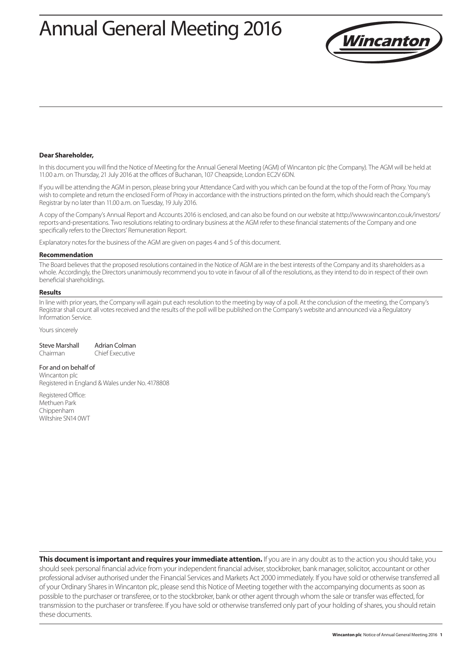# Annual General Meeting 2016



#### **Dear Shareholder,**

In this document you will find the Notice of Meeting for the Annual General Meeting (AGM) of Wincanton plc (the Company). The AGM will be held at 11.00 a.m. on Thursday, 21 July 2016 at the offices of Buchanan, 107 Cheapside, London EC2V 6DN.

If you will be attending the AGM in person, please bring your Attendance Card with you which can be found at the top of the Form of Proxy. You may wish to complete and return the enclosed Form of Proxy in accordance with the instructions printed on the form, which should reach the Company's Registrar by no later than 11.00 a.m. on Tuesday, 19 July 2016.

A copy of the Company's Annual Report and Accounts 2016 is enclosed, and can also be found on our website at http://www.wincanton.co.uk/investors/ reports-and-presentations. Two resolutions relating to ordinary business at the AGM refer to these financial statements of the Company and one specifically refers to the Directors' Remuneration Report.

Explanatory notes for the business of the AGM are given on pages 4 and 5 of this document.

#### **Recommendation**

The Board believes that the proposed resolutions contained in the Notice of AGM are in the best interests of the Company and its shareholders as a whole. Accordingly, the Directors unanimously recommend you to vote in favour of all of the resolutions, as they intend to do in respect of their own beneficial shareholdings.

#### **Results**

In line with prior years, the Company will again put each resolution to the meeting by way of a poll. At the conclusion of the meeting, the Company's Registrar shall count all votes received and the results of the poll will be published on the Company's website and announced via a Regulatory Information Service.

#### Yours sincerely

| Steve Marshall | Adrian Colman   |
|----------------|-----------------|
| Chairman       | Chief Executive |

#### For and on behalf of

Wincanton plc Registered in England & Wales under No. 4178808

Registered Office: Methuen Park Chinnenham Wiltshire SN14 0WT

**This document is important and requires your immediate attention.** If you are in any doubt as to the action you should take, you should seek personal financial advice from your independent financial adviser, stockbroker, bank manager, solicitor, accountant or other professional adviser authorised under the Financial Services and Markets Act 2000 immediately. If you have sold or otherwise transferred all of your Ordinary Shares in Wincanton plc, please send this Notice of Meeting together with the accompanying documents as soon as possible to the purchaser or transferee, or to the stockbroker, bank or other agent through whom the sale or transfer was effected, for transmission to the purchaser or transferee. If you have sold or otherwise transferred only part of your holding of shares, you should retain these documents.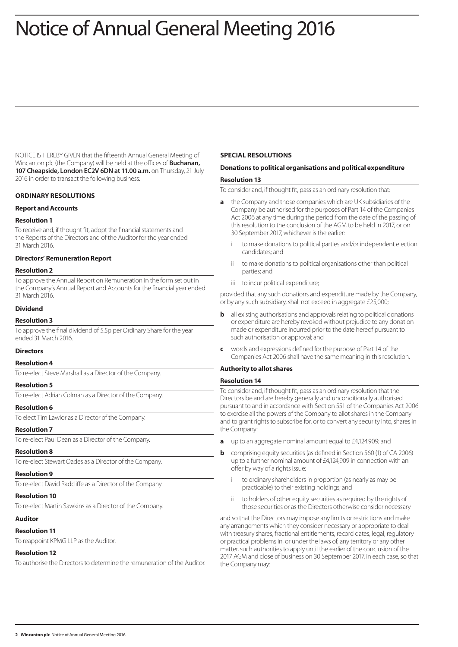# Notice of Annual General Meeting 2016

NOTICE IS HEREBY GIVEN that the fifteenth Annual General Meeting of Wincanton plc (the Company) will be held at the offices of **Buchanan, 107 Cheapside, London EC2V 6DN at 11.00 a.m.** on Thursday, 21 July 2016 in order to transact the following business:

## **ORDINARY RESOLUTIONS**

## **Report and Accounts**

#### **Resolution 1**

To receive and, if thought fit, adopt the financial statements and the Reports of the Directors and of the Auditor for the year ended 31 March 2016.

## **Directors' Remuneration Report**

#### **Resolution 2**

To approve the Annual Report on Remuneration in the form set out in the Company's Annual Report and Accounts for the financial year ended 31 March 2016.

#### **Dividend**

#### **Resolution 3**

To approve the final dividend of 5.5p per Ordinary Share for the year ended 31 March 2016.

## **Directors**

## **Resolution 4**

To re-elect Steve Marshall as a Director of the Company.

#### **Resolution 5**

To re-elect Adrian Colman as a Director of the Company.

## **Resolution 6**

To elect Tim Lawlor as a Director of the Company.

#### **Resolution 7**

To re-elect Paul Dean as a Director of the Company.

## **Resolution 8**

To re-elect Stewart Oades as a Director of the Company.

## **Resolution 9**

To re-elect David Radcliffe as a Director of the Company.

#### **Resolution 10**

To re-elect Martin Sawkins as a Director of the Company.

#### **Auditor**

#### **Resolution 11**

To reappoint KPMG LLP as the Auditor.

#### **Resolution 12**

To authorise the Directors to determine the remuneration of the Auditor.

## **SPECIAL RESOLUTIONS**

## **Donations to political organisations and political expenditure**

#### **Resolution 13**

To consider and, if thought fit, pass as an ordinary resolution that:

- **a** the Company and those companies which are UK subsidiaries of the Company be authorised for the purposes of Part 14 of the Companies Act 2006 at any time during the period from the date of the passing of this resolution to the conclusion of the AGM to be held in 2017, or on 30 September 2017, whichever is the earlier:
	- to make donations to political parties and/or independent election candidates; and
	- ii to make donations to political organisations other than political parties; and
	- iii to incur political expenditure;

provided that any such donations and expenditure made by the Company, or by any such subsidiary, shall not exceed in aggregate £25,000;

- **b** all existing authorisations and approvals relating to political donations or expenditure are hereby revoked without prejudice to any donation made or expenditure incurred prior to the date hereof pursuant to such authorisation or approval; and
- **c** words and expressions defined for the purpose of Part 14 of the Companies Act 2006 shall have the same meaning in this resolution.

## **Authority to allot shares**

#### **Resolution 14**

To consider and, if thought fit, pass as an ordinary resolution that the Directors be and are hereby generally and unconditionally authorised pursuant to and in accordance with Section 551 of the Companies Act 2006 to exercise all the powers of the Company to allot shares in the Company and to grant rights to subscribe for, or to convert any security into, shares in the Company:

- **a** up to an aggregate nominal amount equal to £4,124,909; and
- **b** comprising equity securities (as defined in Section 560 (1) of CA 2006) up to a further nominal amount of £4,124,909 in connection with an offer by way of a rights issue:
	- to ordinary shareholders in proportion (as nearly as may be practicable) to their existing holdings; and
	- ii to holders of other equity securities as required by the rights of those securities or as the Directors otherwise consider necessary

and so that the Directors may impose any limits or restrictions and make any arrangements which they consider necessary or appropriate to deal with treasury shares, fractional entitlements, record dates, legal, regulatory or practical problems in, or under the laws of, any territory or any other matter, such authorities to apply until the earlier of the conclusion of the 2017 AGM and close of business on 30 September 2017, in each case, so that the Company may: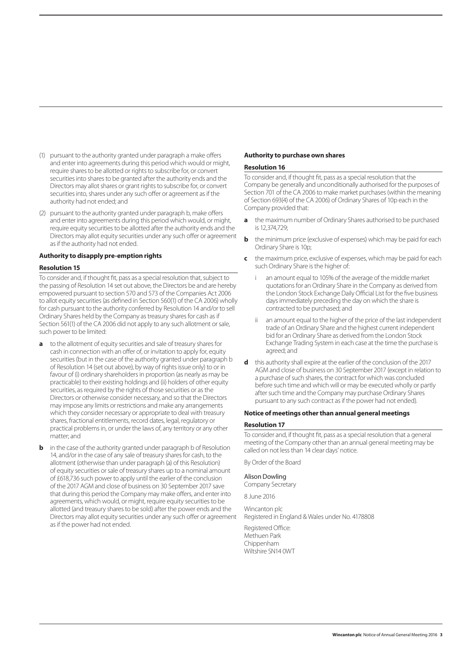- (1) pursuant to the authority granted under paragraph a make offers and enter into agreements during this period which would or might, require shares to be allotted or rights to subscribe for, or convert securities into shares to be granted after the authority ends and the Directors may allot shares or grant rights to subscribe for, or convert securities into, shares under any such offer or agreement as if the authority had not ended; and
- (2) pursuant to the authority granted under paragraph b, make offers and enter into agreements during this period which would, or might, require equity securities to be allotted after the authority ends and the Directors may allot equity securities under any such offer or agreement as if the authority had not ended.

#### **Authority to disapply pre-emption rights**

#### **Resolution 15**

To consider and, if thought fit, pass as a special resolution that, subject to the passing of Resolution 14 set out above, the Directors be and are hereby empowered pursuant to section 570 and 573 of the Companies Act 2006 to allot equity securities (as defined in Section 560(1) of the CA 2006) wholly for cash pursuant to the authority conferred by Resolution 14 and/or to sell Ordinary Shares held by the Company as treasury shares for cash as if Section 561(1) of the CA 2006 did not apply to any such allotment or sale, such power to be limited:

- **a** to the allotment of equity securities and sale of treasury shares for cash in connection with an offer of, or invitation to apply for, equity securities (but in the case of the authority granted under paragraph b of Resolution 14 (set out above), by way of rights issue only) to or in favour of (i) ordinary shareholders in proportion (as nearly as may be practicable) to their existing holdings and (ii) holders of other equity securities, as required by the rights of those securities or as the Directors or otherwise consider necessary, and so that the Directors may impose any limits or restrictions and make any arrangements which they consider necessary or appropriate to deal with treasury shares, fractional entitlements, record dates, legal, regulatory or practical problems in, or under the laws of, any territory or any other matter; and
- **b** in the case of the authority granted under paragraph b of Resolution 14, and/or in the case of any sale of treasury shares for cash, to the allotment (otherwise than under paragraph (a) of this Resolution) of equity securities or sale of treasury shares up to a nominal amount of £618,736 such power to apply until the earlier of the conclusion of the 2017 AGM and close of business on 30 September 2017 save that during this period the Company may make offers, and enter into agreements, which would, or might, require equity securities to be allotted (and treasury shares to be sold) after the power ends and the Directors may allot equity securities under any such offer or agreement as if the power had not ended.

## **Authority to purchase own shares**

#### **Resolution 16**

To consider and, if thought fit, pass as a special resolution that the Company be generally and unconditionally authorised for the purposes of Section 701 of the CA 2006 to make market purchases (within the meaning of Section 693(4) of the CA 2006) of Ordinary Shares of 10p each in the Company provided that:

- **a** the maximum number of Ordinary Shares authorised to be purchased is 12,374,729;
- **b** the minimum price (exclusive of expenses) which may be paid for each Ordinary Share is 10p;
- **c** the maximum price, exclusive of expenses, which may be paid for each such Ordinary Share is the higher of:
	- an amount equal to 105% of the average of the middle market quotations for an Ordinary Share in the Company as derived from the London Stock Exchange Daily Official List for the five business days immediately preceding the day on which the share is contracted to be purchased; and
	- ii an amount equal to the higher of the price of the last independent trade of an Ordinary Share and the highest current independent bid for an Ordinary Share as derived from the London Stock Exchange Trading System in each case at the time the purchase is agreed; and
- **d** this authority shall expire at the earlier of the conclusion of the 2017 AGM and close of business on 30 September 2017 (except in relation to a purchase of such shares, the contract for which was concluded before such time and which will or may be executed wholly or partly after such time and the Company may purchase Ordinary Shares pursuant to any such contract as if the power had not ended).

#### **Notice of meetings other than annual general meetings**

#### **Resolution 17**

To consider and, if thought fit, pass as a special resolution that a general meeting of the Company other than an annual general meeting may be called on not less than 14 clear days' notice.

By Order of the Board

#### Alison Dowling

Company Secretary

8 June 2016

Wincanton plc

Registered in England & Wales under No. 4178808 Registered Office: Methuen Park

Chippenham Wiltshire SN14 0WT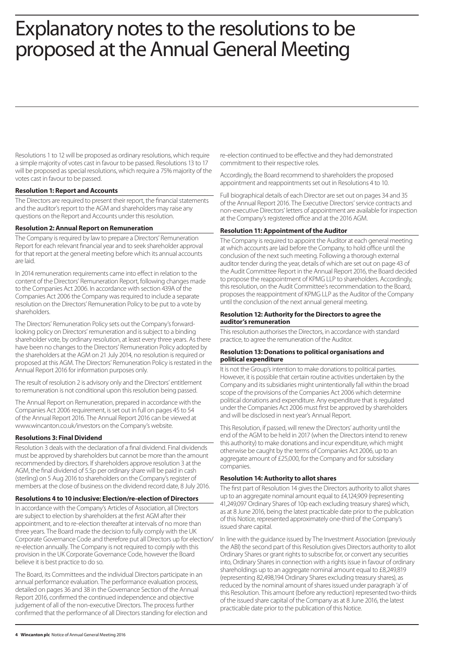## Explanatory notes to the resolutions to be proposed at the Annual General Meeting

Resolutions 1 to 12 will be proposed as ordinary resolutions, which require a simple majority of votes cast in favour to be passed. Resolutions 13 to 17 will be proposed as special resolutions, which require a 75% majority of the votes cast in favour to be passed.

## **Resolution 1: Report and Accounts**

The Directors are required to present their report, the financial statements and the auditor's report to the AGM and shareholders may raise any questions on the Report and Accounts under this resolution.

#### **Resolution 2: Annual Report on Remuneration**

The Company is required by law to prepare a Directors' Remuneration Report for each relevant financial year and to seek shareholder approval for that report at the general meeting before which its annual accounts are laid.

In 2014 remuneration requirements came into effect in relation to the content of the Directors' Remuneration Report, following changes made to the Companies Act 2006. In accordance with section 439A of the Companies Act 2006 the Company was required to include a separate resolution on the Directors' Remuneration Policy to be put to a vote by shareholders.

The Directors' Remuneration Policy sets out the Company's forwardlooking policy on Directors' remuneration and is subject to a binding shareholder vote, by ordinary resolution, at least every three years. As there have been no changes to the Directors' Remuneration Policy adopted by the shareholders at the AGM on 21 July 2014, no resolution is required or proposed at this AGM. The Directors' Remuneration Policy is restated in the Annual Report 2016 for information purposes only.

The result of resolution 2 is advisory only and the Directors' entitlement to remuneration is not conditional upon this resolution being passed.

The Annual Report on Remuneration, prepared in accordance with the Companies Act 2006 requirement, is set out in full on pages 45 to 54 of the Annual Report 2016. The Annual Report 2016 can be viewed at www.wincanton.co.uk/investors on the Company's website.

## **Resolutions 3: Final Dividend**

Resolution 3 deals with the declaration of a final dividend. Final dividends must be approved by shareholders but cannot be more than the amount recommended by directors. If shareholders approve resolution 3 at the AGM, the final dividend of 5.5p per ordinary share will be paid in cash (sterling) on 5 Aug 2016 to shareholders on the Company's register of members at the close of business on the dividend record date, 8 July 2016.

## **Resolutions 4 to 10 inclusive: Election/re-election of Directors**

In accordance with the Company's Articles of Association, all Directors are subject to election by shareholders at the first AGM after their appointment, and to re-election thereafter at intervals of no more than three years. The Board made the decision to fully comply with the UK Corporate Governance Code and therefore put all Directors up for election/ re-election annually. The Company is not required to comply with this provision in the UK Corporate Governance Code, however the Board believe it is best practice to do so.

The Board, its Committees and the individual Directors participate in an annual performance evaluation. The performance evaluation process, detailed on pages 36 and 38 in the Governance Section of the Annual Report 2016, confirmed the continued independence and objective judgement of all of the non-executive Directors. The process further confirmed that the performance of all Directors standing for election and re-election continued to be effective and they had demonstrated commitment to their respective roles.

Accordingly, the Board recommend to shareholders the proposed appointment and reappointments set out in Resolutions 4 to 10.

Full biographical details of each Director are set out on pages 34 and 35 of the Annual Report 2016. The Executive Directors' service contracts and non-executive Directors' letters of appointment are available for inspection at the Company's registered office and at the 2016 AGM.

#### **Resolution 11: Appointment of the Auditor**

The Company is required to appoint the Auditor at each general meeting at which accounts are laid before the Company, to hold office until the conclusion of the next such meeting. Following a thorough external auditor tender during the year, details of which are set out on page 43 of the Audit Committee Report in the Annual Report 2016, the Board decided to propose the reappointment of KPMG LLP to shareholders. Accordingly, this resolution, on the Audit Committee's recommendation to the Board, proposes the reappointment of KPMG LLP as the Auditor of the Company until the conclusion of the next annual general meeting.

### **Resolution 12: Authority for the Directors to agree the auditor's remuneration**

This resolution authorises the Directors, in accordance with standard practice, to agree the remuneration of the Auditor.

#### **Resolution 13: Donations to political organisations and political expenditure**

It is not the Group's intention to make donations to political parties. However, it is possible that certain routine activities undertaken by the Company and its subsidiaries might unintentionally fall within the broad scope of the provisions of the Companies Act 2006 which determine political donations and expenditure. Any expenditure that is regulated under the Companies Act 2006 must first be approved by shareholders and will be disclosed in next year's Annual Report.

This Resolution, if passed, will renew the Directors' authority until the end of the AGM to be held in 2017 (when the Directors intend to renew this authority) to make donations and incur expenditure, which might otherwise be caught by the terms of Companies Act 2006, up to an aggregate amount of £25,000, for the Company and for subsidiary companies.

## **Resolution 14: Authority to allot shares**

The first part of Resolution 14 gives the Directors authority to allot shares up to an aggregate nominal amount equal to £4,124,909 (representing 41,249,097 Ordinary Shares of 10p each excluding treasury shares) which, as at 8 June 2016, being the latest practicable date prior to the publication of this Notice, represented approximately one-third of the Company's issued share capital.

In line with the guidance issued by The Investment Association (previously the ABI) the second part of this Resolution gives Directors authority to allot Ordinary Shares or grant rights to subscribe for, or convert any securities into, Ordinary Shares in connection with a rights issue in favour of ordinary shareholdings up to an aggregate nominal amount equal to £8,249,819 (representing 82,498,194 Ordinary Shares excluding treasury shares), as reduced by the nominal amount of shares issued under paragraph 'a' of this Resolution. This amount (before any reduction) represented two-thirds of the issued share capital of the Company as at 8 June 2016, the latest practicable date prior to the publication of this Notice.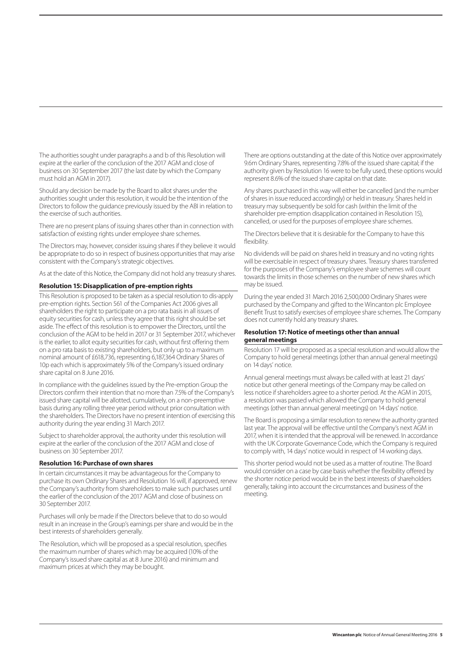The authorities sought under paragraphs a and b of this Resolution will expire at the earlier of the conclusion of the 2017 AGM and close of business on 30 September 2017 (the last date by which the Company must hold an AGM in 2017).

Should any decision be made by the Board to allot shares under the authorities sought under this resolution, it would be the intention of the Directors to follow the guidance previously issued by the ABI in relation to the exercise of such authorities.

There are no present plans of issuing shares other than in connection with satisfaction of existing rights under employee share schemes.

The Directors may, however, consider issuing shares if they believe it would be appropriate to do so in respect of business opportunities that may arise consistent with the Company's strategic objectives.

As at the date of this Notice, the Company did not hold any treasury shares.

## **Resolution 15: Disapplication of pre-emption rights**

This Resolution is proposed to be taken as a special resolution to dis-apply pre-emption rights. Section 561 of the Companies Act 2006 gives all shareholders the right to participate on a pro rata basis in all issues of equity securities for cash, unless they agree that this right should be set aside. The effect of this resolution is to empower the Directors, until the conclusion of the AGM to be held in 2017 or 31 September 2017, whichever is the earlier, to allot equity securities for cash, without first offering them on a pro rata basis to existing shareholders, but only up to a maximum nominal amount of £618,736, representing 6,187,364 Ordinary Shares of 10p each which is approximately 5% of the Company's issued ordinary share capital on 8 June 2016.

In compliance with the guidelines issued by the Pre-emption Group the Directors confirm their intention that no more than 7.5% of the Company's issued share capital will be allotted, cumulatively, on a non-preemptive basis during any rolling three year period without prior consultation with the shareholders. The Directors have no present intention of exercising this authority during the year ending 31 March 2017.

Subject to shareholder approval, the authority under this resolution will expire at the earlier of the conclusion of the 2017 AGM and close of business on 30 September 2017.

## **Resolution 16: Purchase of own shares**

In certain circumstances it may be advantageous for the Company to purchase its own Ordinary Shares and Resolution 16 will, if approved, renew the Company's authority from shareholders to make such purchases until the earlier of the conclusion of the 2017 AGM and close of business on 30 September 2017.

Purchases will only be made if the Directors believe that to do so would result in an increase in the Group's earnings per share and would be in the best interests of shareholders generally.

The Resolution, which will be proposed as a special resolution, specifies the maximum number of shares which may be acquired (10% of the Company's issued share capital as at 8 June 2016) and minimum and maximum prices at which they may be bought.

There are options outstanding at the date of this Notice over approximately 9.6m Ordinary Shares, representing 7.8% of the issued share capital; if the authority given by Resolution 16 were to be fully used, these options would represent 8.6% of the issued share capital on that date.

Any shares purchased in this way will either be cancelled (and the number of shares in issue reduced accordingly) or held in treasury. Shares held in treasury may subsequently be sold for cash (within the limit of the shareholder pre-emption disapplication contained in Resolution 15), cancelled, or used for the purposes of employee share schemes.

The Directors believe that it is desirable for the Company to have this flexibility.

No dividends will be paid on shares held in treasury and no voting rights will be exercisable in respect of treasury shares. Treasury shares transferred for the purposes of the Company's employee share schemes will count towards the limits in those schemes on the number of new shares which may be issued.

During the year ended 31 March 2016 2,500,000 Ordinary Shares were purchased by the Company and gifted to the Wincanton plc Employee Benefit Trust to satisfy exercises of employee share schemes. The Company does not currently hold any treasury shares.

## **Resolution 17: Notice of meetings other than annual general meetings**

Resolution 17 will be proposed as a special resolution and would allow the Company to hold general meetings (other than annual general meetings) on 14 days' notice.

Annual general meetings must always be called with at least 21 days' notice but other general meetings of the Company may be called on less notice if shareholders agree to a shorter period. At the AGM in 2015, a resolution was passed which allowed the Company to hold general meetings (other than annual general meetings) on 14 days' notice.

The Board is proposing a similar resolution to renew the authority granted last year. The approval will be effective until the Company's next AGM in 2017, when it is intended that the approval will be renewed. In accordance with the UK Corporate Governance Code, which the Company is required to comply with, 14 days' notice would in respect of 14 working days.

This shorter period would not be used as a matter of routine. The Board would consider on a case by case basis whether the flexibility offered by the shorter notice period would be in the best interests of shareholders generally, taking into account the circumstances and business of the meeting.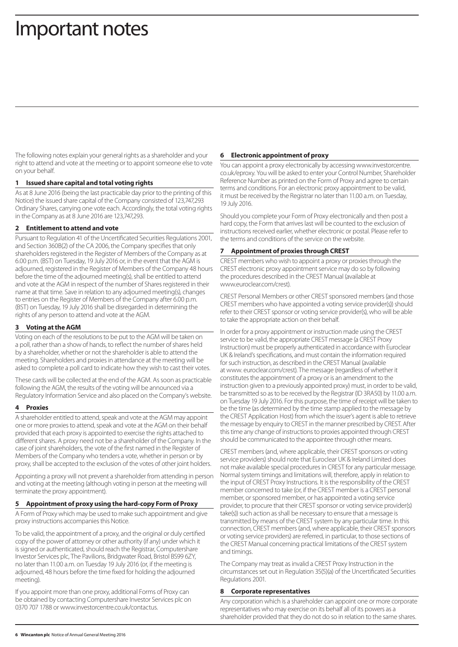## Important notes

The following notes explain your general rights as a shareholder and your right to attend and vote at the meeting or to appoint someone else to vote on your behalf.

## **1 Issued share capital and total voting rights**

As at 8 June 2016 (being the last practicable day prior to the printing of this Notice) the issued share capital of the Company consisted of 123,747,293 Ordinary Shares, carrying one vote each. Accordingly, the total voting rights in the Company as at 8 June 2016 are 123,747,293.

## **2 Entitlement to attend and vote**

Pursuant to Regulation 41 of the Uncertificated Securities Regulations 2001, and Section 360B(2) of the CA 2006, the Company specifies that only shareholders registered in the Register of Members of the Company as at 6.00 p.m. (BST) on Tuesday, 19 July 2016 or, in the event that the AGM is adjourned, registered in the Register of Members of the Company 48 hours before the time of the adjourned meeting(s), shall be entitled to attend and vote at the AGM in respect of the number of Shares registered in their name at that time. Save in relation to any adjourned meeting(s), changes to entries on the Register of Members of the Company after 6.00 p.m. (BST) on Tuesday, 19 July 2016 shall be disregarded in determining the rights of any person to attend and vote at the AGM.

## **3 Voting at the AGM**

Voting on each of the resolutions to be put to the AGM will be taken on a poll, rather than a show of hands, to reflect the number of shares held by a shareholder, whether or not the shareholder is able to attend the meeting. Shareholders and proxies in attendance at the meeting will be asked to complete a poll card to indicate how they wish to cast their votes.

These cards will be collected at the end of the AGM. As soon as practicable following the AGM, the results of the voting will be announced via a Regulatory Information Service and also placed on the Company's website.

## **4 Proxies**

A shareholder entitled to attend, speak and vote at the AGM may appoint one or more proxies to attend, speak and vote at the AGM on their behalf provided that each proxy is appointed to exercise the rights attached to different shares. A proxy need not be a shareholder of the Company. In the case of joint shareholders, the vote of the first named in the Register of Members of the Company who tenders a vote, whether in person or by proxy, shall be accepted to the exclusion of the votes of other joint holders.

Appointing a proxy will not prevent a shareholder from attending in person and voting at the meeting (although voting in person at the meeting will terminate the proxy appointment).

## **5 Appointment of proxy using the hard-copy Form of Proxy**

A Form of Proxy which may be used to make such appointment and give proxy instructions accompanies this Notice.

To be valid, the appointment of a proxy, and the original or duly certified copy of the power of attorney or other authority (if any) under which it is signed or authenticated, should reach the Registrar, Computershare Investor Services plc, The Pavilions, Bridgwater Road, Bristol BS99 6ZY, no later than 11.00 a.m. on Tuesday 19 July 2016 (or, if the meeting is adjourned, 48 hours before the time fixed for holding the adjourned meeting).

If you appoint more than one proxy, additional Forms of Proxy can be obtained by contacting Computershare Investor Services plc on 0370 707 1788 or www.investorcentre.co.uk/contactus.

## **6 Electronic appointment of proxy**

You can appoint a proxy electronically by accessing www.investorcentre. co.uk/eproxy. You will be asked to enter your Control Number, Shareholder Reference Number as printed on the Form of Proxy and agree to certain terms and conditions. For an electronic proxy appointment to be valid, it must be received by the Registrar no later than 11.00 a.m. on Tuesday, 19 July 2016.

Should you complete your Form of Proxy electronically and then post a hard copy, the Form that arrives last will be counted to the exclusion of instructions received earlier, whether electronic or postal. Please refer to the terms and conditions of the service on the website.

## **7 Appointment of proxies through CREST**

CREST members who wish to appoint a proxy or proxies through the CREST electronic proxy appointment service may do so by following the procedures described in the CREST Manual (available at www.euroclear.com/crest).

CREST Personal Members or other CREST sponsored members (and those CREST members who have appointed a voting service provider(s)) should refer to their CREST sponsor or voting service provider(s), who will be able to take the appropriate action on their behalf.

In order for a proxy appointment or instruction made using the CREST service to be valid, the appropriate CREST message (a CREST Proxy Instruction) must be properly authenticated in accordance with Euroclear UK & Ireland's specifications, and must contain the information required for such instruction, as described in the CREST Manual (available at www. euroclear.com/crest). The message (regardless of whether it constitutes the appointment of a proxy or is an amendment to the instruction given to a previously appointed proxy) must, in order to be valid, be transmitted so as to be received by the Registrar (ID 3RA50) by 11.00 a.m. on Tuesday 19 July 2016. For this purpose, the time of receipt will be taken to be the time (as determined by the time stamp applied to the message by the CREST Application Host) from which the issuer's agent is able to retrieve the message by enquiry to CREST in the manner prescribed by CREST. After this time any change of instructions to proxies appointed through CREST should be communicated to the appointee through other means.

CREST members (and, where applicable, their CREST sponsors or voting service providers) should note that Euroclear UK & Ireland Limited does not make available special procedures in CREST for any particular message. Normal system timings and limitations will, therefore, apply in relation to the input of CREST Proxy Instructions. It is the responsibility of the CREST member concerned to take (or, if the CREST member is a CREST personal member, or sponsored member, or has appointed a voting service provider, to procure that their CREST sponsor or voting service provider(s) take(s)) such action as shall be necessary to ensure that a message is transmitted by means of the CREST system by any particular time. In this connection, CREST members (and, where applicable, their CREST sponsors or voting service providers) are referred, in particular, to those sections of the CREST Manual concerning practical limitations of the CREST system and timings.

The Company may treat as invalid a CREST Proxy Instruction in the circumstances set out in Regulation 35(5)(a) of the Uncertificated Securities Regulations 2001.

## **8 Corporate representatives**

Any corporation which is a shareholder can appoint one or more corporate representatives who may exercise on its behalf all of its powers as a shareholder provided that they do not do so in relation to the same shares.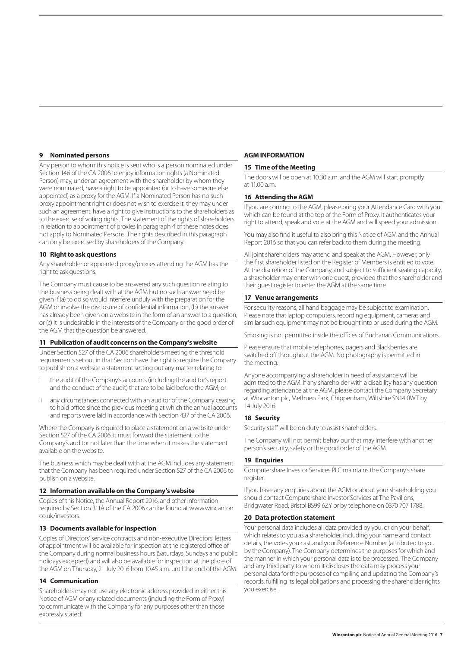## **9 Nominated persons**

Any person to whom this notice is sent who is a person nominated under Section 146 of the CA 2006 to enjoy information rights (a Nominated Person) may, under an agreement with the shareholder by whom they were nominated, have a right to be appointed (or to have someone else appointed) as a proxy for the AGM. If a Nominated Person has no such proxy appointment right or does not wish to exercise it, they may under such an agreement, have a right to give instructions to the shareholders as to the exercise of voting rights. The statement of the rights of shareholders in relation to appointment of proxies in paragraph 4 of these notes does not apply to Nominated Persons. The rights described in this paragraph can only be exercised by shareholders of the Company.

#### **10 Right to ask questions**

Any shareholder or appointed proxy/proxies attending the AGM has the right to ask questions.

The Company must cause to be answered any such question relating to the business being dealt with at the AGM but no such answer need be given if (a) to do so would interfere unduly with the preparation for the AGM or involve the disclosure of confidential information, (b) the answer has already been given on a website in the form of an answer to a question, or (c) it is undesirable in the interests of the Company or the good order of the AGM that the question be answered.

#### **11 Publication of audit concerns on the Company's website**

Under Section 527 of the CA 2006 shareholders meeting the threshold requirements set out in that Section have the right to require the Company to publish on a website a statement setting out any matter relating to:

- the audit of the Company's accounts (including the auditor's report and the conduct of the audit) that are to be laid before the AGM; or
- ii any circumstances connected with an auditor of the Company ceasing to hold office since the previous meeting at which the annual accounts and reports were laid in accordance with Section 437 of the CA 2006.

Where the Company is required to place a statement on a website under Section 527 of the CA 2006, it must forward the statement to the Company's auditor not later than the time when it makes the statement available on the website.

The business which may be dealt with at the AGM includes any statement that the Company has been required under Section 527 of the CA 2006 to publish on a website.

#### **12 Information available on the Company's website**

Copies of this Notice, the Annual Report 2016, and other information required by Section 311A of the CA 2006 can be found at www.wincanton. co.uk/investors.

## **13 Documents available for inspection**

Copies of Directors' service contracts and non-executive Directors' letters of appointment will be available for inspection at the registered office of the Company during normal business hours (Saturdays, Sundays and public holidays excepted) and will also be available for inspection at the place of the AGM on Thursday, 21 July 2016 from 10.45 a.m. until the end of the AGM.

## **14 Communication**

Shareholders may not use any electronic address provided in either this Notice of AGM or any related documents (including the Form of Proxy) to communicate with the Company for any purposes other than those expressly stated.

## **AGM INFORMATION**

## **15 Time of the Meeting**

The doors will be open at 10.30 a.m. and the AGM will start promptly at 11.00 a.m.

## **16 Attending the AGM**

If you are coming to the AGM, please bring your Attendance Card with you which can be found at the top of the Form of Proxy. It authenticates your right to attend, speak and vote at the AGM and will speed your admission.

You may also find it useful to also bring this Notice of AGM and the Annual Report 2016 so that you can refer back to them during the meeting.

All joint shareholders may attend and speak at the AGM. However, only the first shareholder listed on the Register of Members is entitled to vote. At the discretion of the Company, and subject to sufficient seating capacity, a shareholder may enter with one guest, provided that the shareholder and their guest register to enter the AGM at the same time.

#### **17 Venue arrangements**

For security reasons, all hand baggage may be subject to examination. Please note that laptop computers, recording equipment, cameras and similar such equipment may not be brought into or used during the AGM.

Smoking is not permitted inside the offices of Buchanan Communications.

Please ensure that mobile telephones, pagers and Blackberries are switched off throughout the AGM. No photography is permitted in the meeting.

Anyone accompanying a shareholder in need of assistance will be admitted to the AGM. If any shareholder with a disability has any question regarding attendance at the AGM, please contact the Company Secretary at Wincanton plc, Methuen Park, Chippenham, Wiltshire SN14 0WT by 14 July 2016.

## **18 Security**

Security staff will be on duty to assist shareholders.

The Company will not permit behaviour that may interfere with another person's security, safety or the good order of the AGM.

#### **19 Enquiries**

Computershare Investor Services PLC maintains the Company's share register.

If you have any enquiries about the AGM or about your shareholding you should contact Computershare Investor Services at The Pavilions, Bridgwater Road, Bristol BS99 6ZY or by telephone on 0370 707 1788.

### **20 Data protection statement**

Your personal data includes all data provided by you, or on your behalf, which relates to you as a shareholder, including your name and contact details, the votes you cast and your Reference Number (attributed to you by the Company). The Company determines the purposes for which and the manner in which your personal data is to be processed. The Company and any third party to whom it discloses the data may process your personal data for the purposes of compiling and updating the Company's records, fulfilling its legal obligations and processing the shareholder rights you exercise.